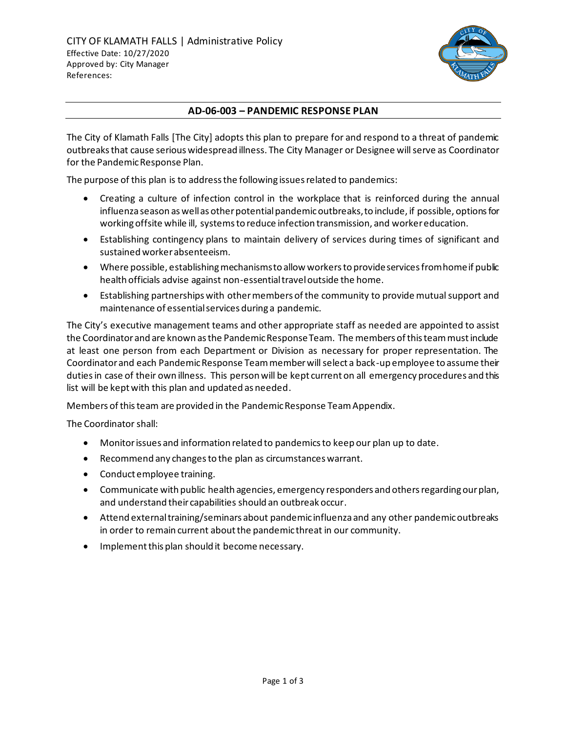

## **AD-06-003 – PANDEMIC RESPONSE PLAN**

The City of Klamath Falls [The City] adopts this plan to prepare for and respond to a threat of pandemic outbreaks that cause serious widespread illness. The City Manager or Designee will serve as Coordinator for the Pandemic Response Plan.

The purpose of this plan is to address the following issues related to pandemics:

- Creating a culture of infection control in the workplace that is reinforced during the annual influenza season as well as other potential pandemic outbreaks, to include, if possible, options for working offsite while ill, systems to reduce infection transmission, and worker education.
- Establishing contingency plans to maintain delivery of services during times of significant and sustained worker absenteeism.
- Where possible, establishing mechanisms to allow workers to provide services from home if public health officials advise against non-essential travel outside the home.
- Establishing partnerships with other members of the community to provide mutual support and maintenance of essential services during a pandemic.

The City's executive management teams and other appropriate staff as needed are appointed to assist the Coordinator and are known as the Pandemic Response Team. The members of this team must include at least one person from each Department or Division as necessary for proper representation. The Coordinator and each Pandemic Response Team member will select a back-up employee to assume their duties in case of their own illness. This person will be kept current on all emergency procedures and this list will be kept with this plan and updated as needed.

Members of this team are provided in the Pandemic Response Team Appendix.

The Coordinator shall:

- Monitor issues and information related to pandemics to keep our plan up to date.
- Recommend any changes to the plan as circumstances warrant.
- Conduct employee training.
- Communicate with public health agencies, emergency responders and others regarding our plan, and understand their capabilities should an outbreak occur.
- Attend external training/seminars about pandemic influenza and any other pandemic outbreaks in order to remain current about the pandemic threat in our community.
- Implement this plan should it become necessary.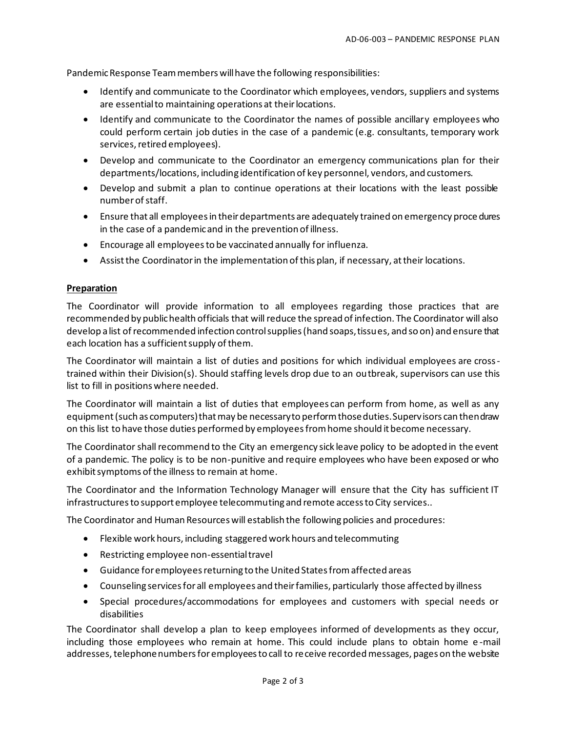Pandemic Response Team members will have the following responsibilities:

- Identify and communicate to the Coordinator which employees, vendors, suppliers and systems are essential to maintaining operations at their locations.
- Identify and communicate to the Coordinator the names of possible ancillary employees who could perform certain job duties in the case of a pandemic (e.g. consultants, temporary work services, retired employees).
- Develop and communicate to the Coordinator an emergency communications plan for their departments/locations, including identification of key personnel, vendors, and customers.
- Develop and submit a plan to continue operations at their locations with the least possible number of staff.
- Ensure that all employees in their departments are adequately trained on emergency proce dures in the case of a pandemic and in the prevention of illness.
- Encourage all employees to be vaccinated annually for influenza.
- Assist the Coordinator in the implementation of this plan, if necessary, at their locations.

## **Preparation**

The Coordinator will provide information to all employees regarding those practices that are recommended by public health officials that will reduce the spread of infection. The Coordinator will also develop a list of recommended infection control supplies (hand soaps, tissues, and so on) and ensure that each location has a sufficient supply of them.

The Coordinator will maintain a list of duties and positions for which individual employees are crosstrained within their Division(s). Should staffing levels drop due to an outbreak, supervisors can use this list to fill in positions where needed.

The Coordinator will maintain a list of duties that employees can perform from home, as well as any equipment (such as computers) that may be necessary to perform those duties. Supervisors can then draw on this list to have those duties performed by employees from home should it become necessary.

The Coordinator shall recommend to the City an emergency sick leave policy to be adopted in the event of a pandemic. The policy is to be non-punitive and require employees who have been exposed or who exhibit symptoms of the illness to remain at home.

The Coordinator and the Information Technology Manager will ensure that the City has sufficient IT infrastructures to support employee telecommuting and remote access to City services..

The Coordinator and Human Resources will establish the following policies and procedures:

- Flexible work hours, including staggered work hours and telecommuting
- Restricting employee non-essential travel
- Guidance for employees returning to the United States from affected areas
- Counseling services for all employees and their families, particularly those affected by illness
- Special procedures/accommodations for employees and customers with special needs or disabilities

The Coordinator shall develop a plan to keep employees informed of developments as they occur, including those employees who remain at home. This could include plans to obtain home e -mail addresses, telephone numbers for employees to call to receive recorded messages, pages on the website